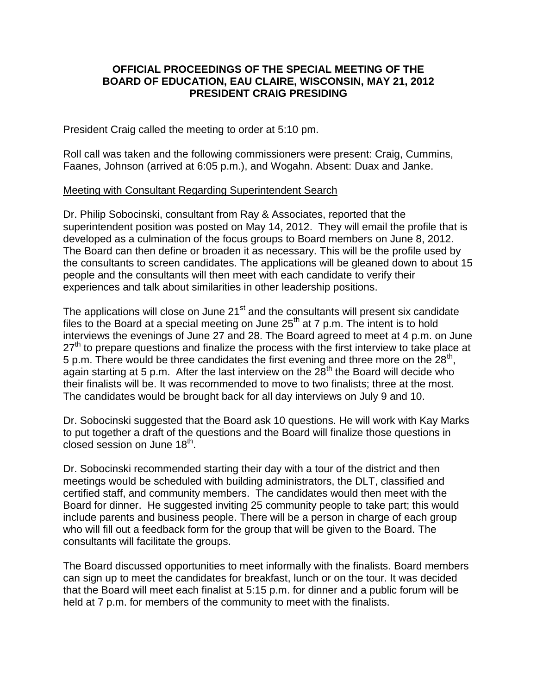## **OFFICIAL PROCEEDINGS OF THE SPECIAL MEETING OF THE BOARD OF EDUCATION, EAU CLAIRE, WISCONSIN, MAY 21, 2012 PRESIDENT CRAIG PRESIDING**

President Craig called the meeting to order at 5:10 pm.

Roll call was taken and the following commissioners were present: Craig, Cummins, Faanes, Johnson (arrived at 6:05 p.m.), and Wogahn. Absent: Duax and Janke.

## Meeting with Consultant Regarding Superintendent Search

Dr. Philip Sobocinski, consultant from Ray & Associates, reported that the superintendent position was posted on May 14, 2012. They will email the profile that is developed as a culmination of the focus groups to Board members on June 8, 2012. The Board can then define or broaden it as necessary. This will be the profile used by the consultants to screen candidates. The applications will be gleaned down to about 15 people and the consultants will then meet with each candidate to verify their experiences and talk about similarities in other leadership positions.

The applications will close on June  $21<sup>st</sup>$  and the consultants will present six candidate files to the Board at a special meeting on June  $25<sup>th</sup>$  at 7 p.m. The intent is to hold interviews the evenings of June 27 and 28. The Board agreed to meet at 4 p.m. on June  $27<sup>th</sup>$  to prepare questions and finalize the process with the first interview to take place at 5 p.m. There would be three candidates the first evening and three more on the 28<sup>th</sup>, again starting at 5 p.m. After the last interview on the  $28<sup>th</sup>$  the Board will decide who their finalists will be. It was recommended to move to two finalists; three at the most. The candidates would be brought back for all day interviews on July 9 and 10.

Dr. Sobocinski suggested that the Board ask 10 questions. He will work with Kay Marks to put together a draft of the questions and the Board will finalize those questions in closed session on June 18<sup>th</sup>.

Dr. Sobocinski recommended starting their day with a tour of the district and then meetings would be scheduled with building administrators, the DLT, classified and certified staff, and community members. The candidates would then meet with the Board for dinner. He suggested inviting 25 community people to take part; this would include parents and business people. There will be a person in charge of each group who will fill out a feedback form for the group that will be given to the Board. The consultants will facilitate the groups.

The Board discussed opportunities to meet informally with the finalists. Board members can sign up to meet the candidates for breakfast, lunch or on the tour. It was decided that the Board will meet each finalist at 5:15 p.m. for dinner and a public forum will be held at 7 p.m. for members of the community to meet with the finalists.